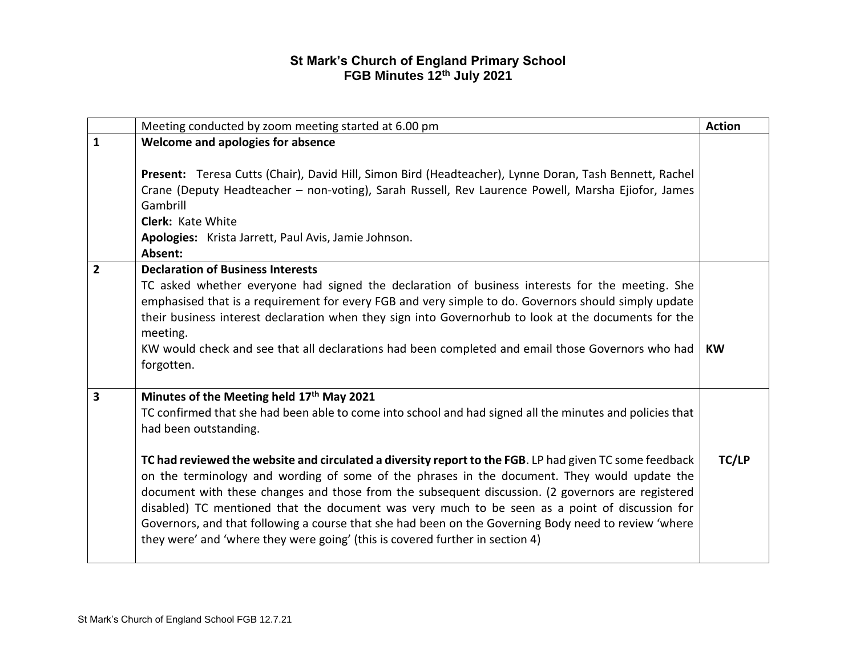|                | Meeting conducted by zoom meeting started at 6.00 pm                                                                                                                                                                                                                                                                                                                                                                                                                                                                                                                                                                                                                                                                                                                                      | <b>Action</b> |
|----------------|-------------------------------------------------------------------------------------------------------------------------------------------------------------------------------------------------------------------------------------------------------------------------------------------------------------------------------------------------------------------------------------------------------------------------------------------------------------------------------------------------------------------------------------------------------------------------------------------------------------------------------------------------------------------------------------------------------------------------------------------------------------------------------------------|---------------|
| $\mathbf{1}$   | Welcome and apologies for absence                                                                                                                                                                                                                                                                                                                                                                                                                                                                                                                                                                                                                                                                                                                                                         |               |
|                | Present: Teresa Cutts (Chair), David Hill, Simon Bird (Headteacher), Lynne Doran, Tash Bennett, Rachel<br>Crane (Deputy Headteacher - non-voting), Sarah Russell, Rev Laurence Powell, Marsha Ejiofor, James<br>Gambrill<br><b>Clerk: Kate White</b><br>Apologies: Krista Jarrett, Paul Avis, Jamie Johnson.<br>Absent:                                                                                                                                                                                                                                                                                                                                                                                                                                                                   |               |
| $\overline{2}$ | <b>Declaration of Business Interests</b><br>TC asked whether everyone had signed the declaration of business interests for the meeting. She<br>emphasised that is a requirement for every FGB and very simple to do. Governors should simply update<br>their business interest declaration when they sign into Governorhub to look at the documents for the<br>meeting.<br>KW would check and see that all declarations had been completed and email those Governors who had<br>forgotten.                                                                                                                                                                                                                                                                                                | <b>KW</b>     |
| 3              | Minutes of the Meeting held 17th May 2021<br>TC confirmed that she had been able to come into school and had signed all the minutes and policies that<br>had been outstanding.<br>TC had reviewed the website and circulated a diversity report to the FGB. LP had given TC some feedback<br>on the terminology and wording of some of the phrases in the document. They would update the<br>document with these changes and those from the subsequent discussion. (2 governors are registered<br>disabled) TC mentioned that the document was very much to be seen as a point of discussion for<br>Governors, and that following a course that she had been on the Governing Body need to review 'where<br>they were' and 'where they were going' (this is covered further in section 4) | TC/LP         |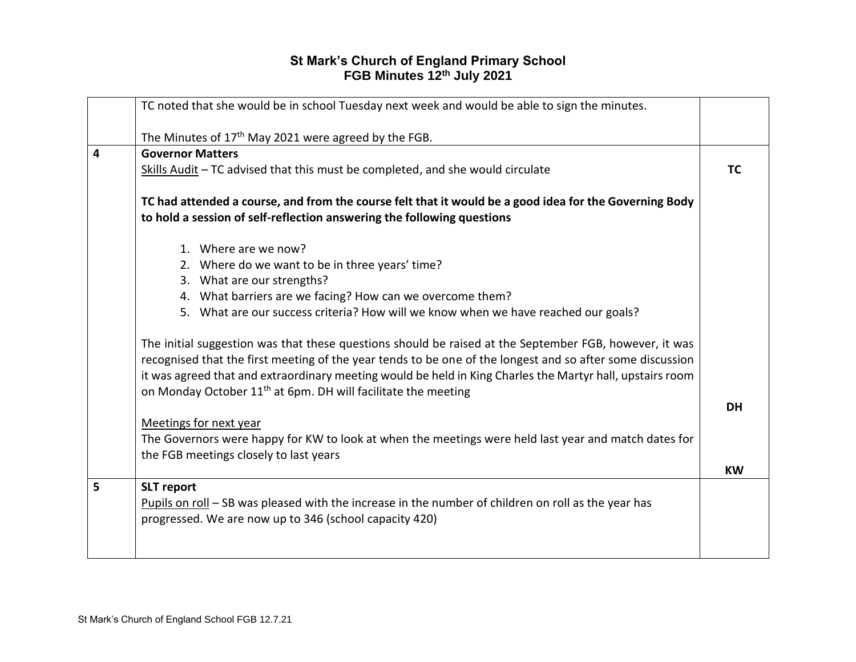|   | TC noted that she would be in school Tuesday next week and would be able to sign the minutes.                                                                                                                       |           |
|---|---------------------------------------------------------------------------------------------------------------------------------------------------------------------------------------------------------------------|-----------|
|   | The Minutes of 17 <sup>th</sup> May 2021 were agreed by the FGB.                                                                                                                                                    |           |
| 4 | <b>Governor Matters</b>                                                                                                                                                                                             |           |
|   | Skills Audit - TC advised that this must be completed, and she would circulate                                                                                                                                      | ТC        |
|   | TC had attended a course, and from the course felt that it would be a good idea for the Governing Body                                                                                                              |           |
|   | to hold a session of self-reflection answering the following questions                                                                                                                                              |           |
|   | 1. Where are we now?                                                                                                                                                                                                |           |
|   | 2. Where do we want to be in three years' time?                                                                                                                                                                     |           |
|   | 3. What are our strengths?                                                                                                                                                                                          |           |
|   | 4. What barriers are we facing? How can we overcome them?                                                                                                                                                           |           |
|   | 5. What are our success criteria? How will we know when we have reached our goals?                                                                                                                                  |           |
|   | The initial suggestion was that these questions should be raised at the September FGB, however, it was<br>recognised that the first meeting of the year tends to be one of the longest and so after some discussion |           |
|   | it was agreed that and extraordinary meeting would be held in King Charles the Martyr hall, upstairs room<br>on Monday October 11 <sup>th</sup> at 6pm. DH will facilitate the meeting                              |           |
|   |                                                                                                                                                                                                                     | <b>DH</b> |
|   | Meetings for next year                                                                                                                                                                                              |           |
|   | The Governors were happy for KW to look at when the meetings were held last year and match dates for                                                                                                                |           |
|   | the FGB meetings closely to last years                                                                                                                                                                              |           |
|   | <b>SLT report</b>                                                                                                                                                                                                   | <b>KW</b> |
| 5 | Pupils on roll - SB was pleased with the increase in the number of children on roll as the year has<br>progressed. We are now up to 346 (school capacity 420)                                                       |           |
|   |                                                                                                                                                                                                                     |           |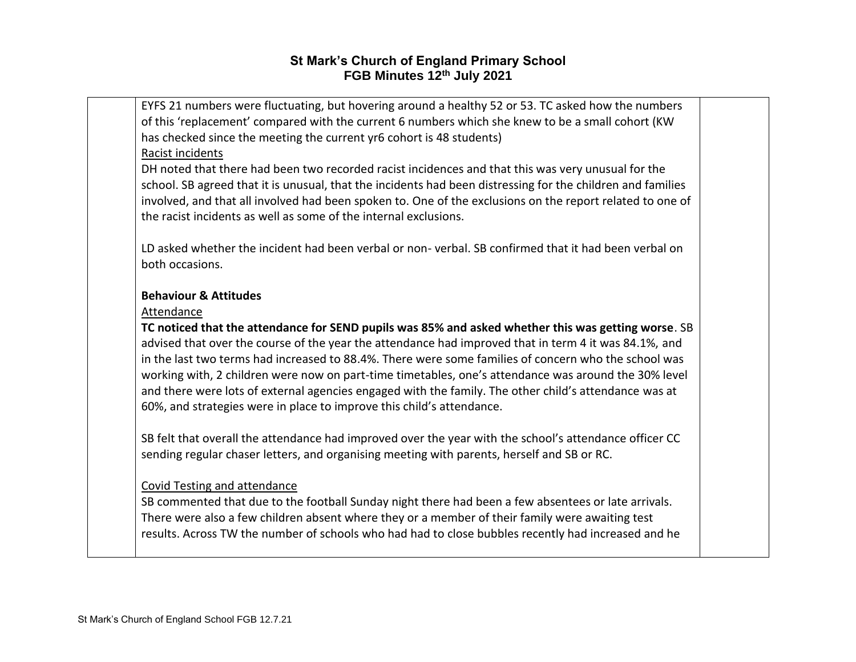| EYFS 21 numbers were fluctuating, but hovering around a healthy 52 or 53. TC asked how the numbers                                                                                                                                                                                                                                                                                                                                                                                                                                                                                                             |
|----------------------------------------------------------------------------------------------------------------------------------------------------------------------------------------------------------------------------------------------------------------------------------------------------------------------------------------------------------------------------------------------------------------------------------------------------------------------------------------------------------------------------------------------------------------------------------------------------------------|
| of this 'replacement' compared with the current 6 numbers which she knew to be a small cohort (KW                                                                                                                                                                                                                                                                                                                                                                                                                                                                                                              |
| has checked since the meeting the current yr6 cohort is 48 students)                                                                                                                                                                                                                                                                                                                                                                                                                                                                                                                                           |
| Racist incidents                                                                                                                                                                                                                                                                                                                                                                                                                                                                                                                                                                                               |
| DH noted that there had been two recorded racist incidences and that this was very unusual for the                                                                                                                                                                                                                                                                                                                                                                                                                                                                                                             |
| school. SB agreed that it is unusual, that the incidents had been distressing for the children and families                                                                                                                                                                                                                                                                                                                                                                                                                                                                                                    |
| involved, and that all involved had been spoken to. One of the exclusions on the report related to one of                                                                                                                                                                                                                                                                                                                                                                                                                                                                                                      |
| the racist incidents as well as some of the internal exclusions.                                                                                                                                                                                                                                                                                                                                                                                                                                                                                                                                               |
| LD asked whether the incident had been verbal or non-verbal. SB confirmed that it had been verbal on                                                                                                                                                                                                                                                                                                                                                                                                                                                                                                           |
| both occasions.                                                                                                                                                                                                                                                                                                                                                                                                                                                                                                                                                                                                |
| <b>Behaviour &amp; Attitudes</b>                                                                                                                                                                                                                                                                                                                                                                                                                                                                                                                                                                               |
| Attendance                                                                                                                                                                                                                                                                                                                                                                                                                                                                                                                                                                                                     |
| TC noticed that the attendance for SEND pupils was 85% and asked whether this was getting worse. SB<br>advised that over the course of the year the attendance had improved that in term 4 it was 84.1%, and<br>in the last two terms had increased to 88.4%. There were some families of concern who the school was<br>working with, 2 children were now on part-time timetables, one's attendance was around the 30% level<br>and there were lots of external agencies engaged with the family. The other child's attendance was at<br>60%, and strategies were in place to improve this child's attendance. |
| SB felt that overall the attendance had improved over the year with the school's attendance officer CC                                                                                                                                                                                                                                                                                                                                                                                                                                                                                                         |
| sending regular chaser letters, and organising meeting with parents, herself and SB or RC.                                                                                                                                                                                                                                                                                                                                                                                                                                                                                                                     |
| <b>Covid Testing and attendance</b>                                                                                                                                                                                                                                                                                                                                                                                                                                                                                                                                                                            |
| SB commented that due to the football Sunday night there had been a few absentees or late arrivals.                                                                                                                                                                                                                                                                                                                                                                                                                                                                                                            |
| There were also a few children absent where they or a member of their family were awaiting test                                                                                                                                                                                                                                                                                                                                                                                                                                                                                                                |
| results. Across TW the number of schools who had had to close bubbles recently had increased and he                                                                                                                                                                                                                                                                                                                                                                                                                                                                                                            |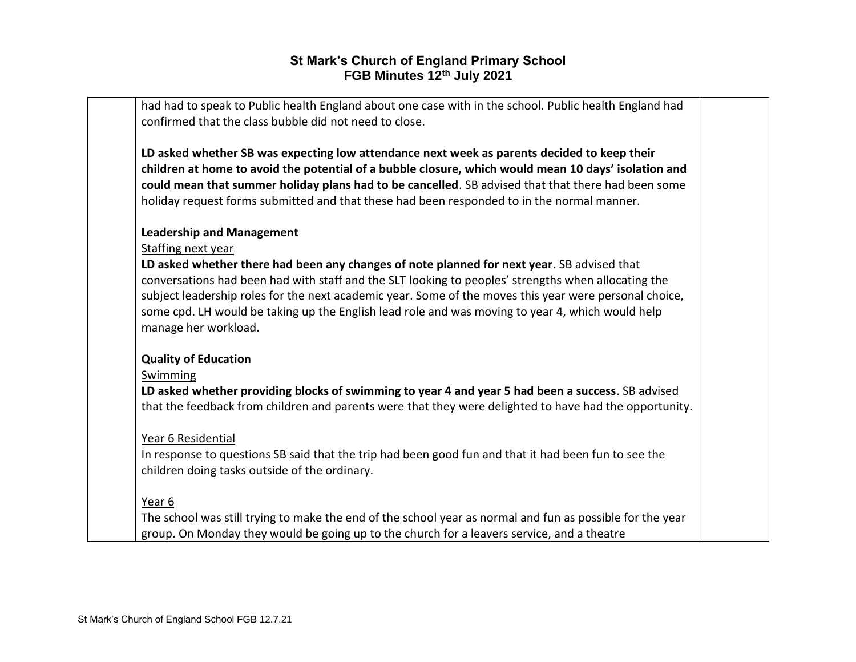| could mean that summer holiday plans had to be cancelled. SB advised that that there had been some     | children at home to avoid the potential of a bubble closure, which would mean 10 days' isolation and |
|--------------------------------------------------------------------------------------------------------|------------------------------------------------------------------------------------------------------|
|                                                                                                        |                                                                                                      |
| holiday request forms submitted and that these had been responded to in the normal manner.             |                                                                                                      |
| <b>Leadership and Management</b>                                                                       |                                                                                                      |
| <b>Staffing next year</b>                                                                              |                                                                                                      |
| LD asked whether there had been any changes of note planned for next year. SB advised that             |                                                                                                      |
| conversations had been had with staff and the SLT looking to peoples' strengths when allocating the    |                                                                                                      |
| subject leadership roles for the next academic year. Some of the moves this year were personal choice, |                                                                                                      |
| some cpd. LH would be taking up the English lead role and was moving to year 4, which would help       |                                                                                                      |
| manage her workload.                                                                                   |                                                                                                      |
| <b>Quality of Education</b>                                                                            |                                                                                                      |
| Swimming                                                                                               |                                                                                                      |
| LD asked whether providing blocks of swimming to year 4 and year 5 had been a success. SB advised      |                                                                                                      |
| that the feedback from children and parents were that they were delighted to have had the opportunity. |                                                                                                      |
| Year 6 Residential                                                                                     |                                                                                                      |
| In response to questions SB said that the trip had been good fun and that it had been fun to see the   |                                                                                                      |
| children doing tasks outside of the ordinary.                                                          |                                                                                                      |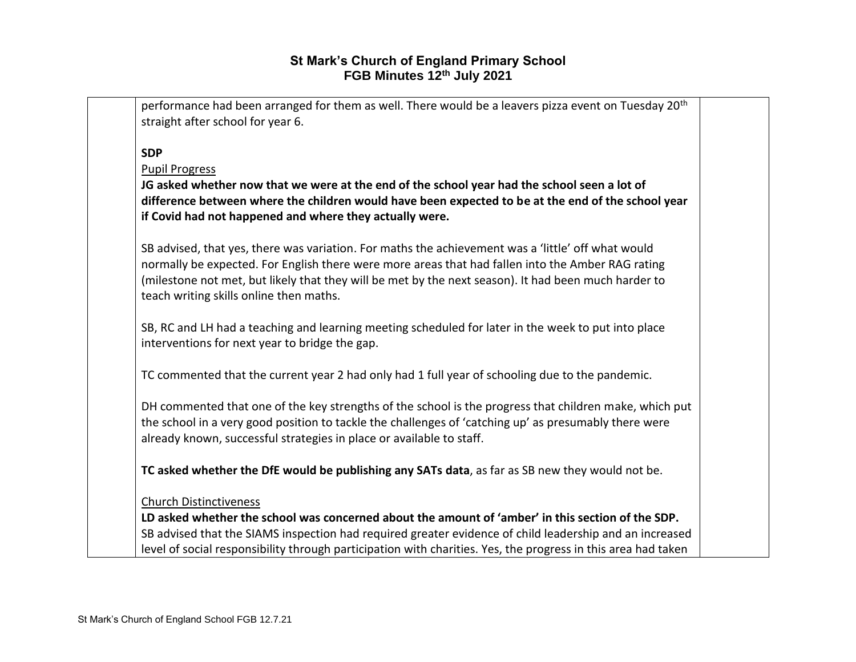| straight after school for year 6.              | performance had been arranged for them as well. There would be a leavers pizza event on Tuesday 20 <sup>th</sup> |
|------------------------------------------------|------------------------------------------------------------------------------------------------------------------|
|                                                |                                                                                                                  |
| <b>SDP</b>                                     |                                                                                                                  |
| <b>Pupil Progress</b>                          |                                                                                                                  |
|                                                | JG asked whether now that we were at the end of the school year had the school seen a lot of                     |
|                                                | difference between where the children would have been expected to be at the end of the school year               |
|                                                | if Covid had not happened and where they actually were.                                                          |
|                                                | SB advised, that yes, there was variation. For maths the achievement was a 'little' off what would               |
|                                                | normally be expected. For English there were more areas that had fallen into the Amber RAG rating                |
|                                                | (milestone not met, but likely that they will be met by the next season). It had been much harder to             |
| teach writing skills online then maths.        |                                                                                                                  |
|                                                | SB, RC and LH had a teaching and learning meeting scheduled for later in the week to put into place              |
| interventions for next year to bridge the gap. |                                                                                                                  |
|                                                |                                                                                                                  |
|                                                | TC commented that the current year 2 had only had 1 full year of schooling due to the pandemic.                  |
|                                                | DH commented that one of the key strengths of the school is the progress that children make, which put           |
|                                                | the school in a very good position to tackle the challenges of 'catching up' as presumably there were            |
|                                                | already known, successful strategies in place or available to staff.                                             |
|                                                | TC asked whether the DfE would be publishing any SATs data, as far as SB new they would not be.                  |
|                                                |                                                                                                                  |
| <b>Church Distinctiveness</b>                  |                                                                                                                  |
|                                                | LD asked whether the school was concerned about the amount of 'amber' in this section of the SDP.                |
|                                                | SB advised that the SIAMS inspection had required greater evidence of child leadership and an increased          |
|                                                | level of social responsibility through participation with charities. Yes, the progress in this area had taken    |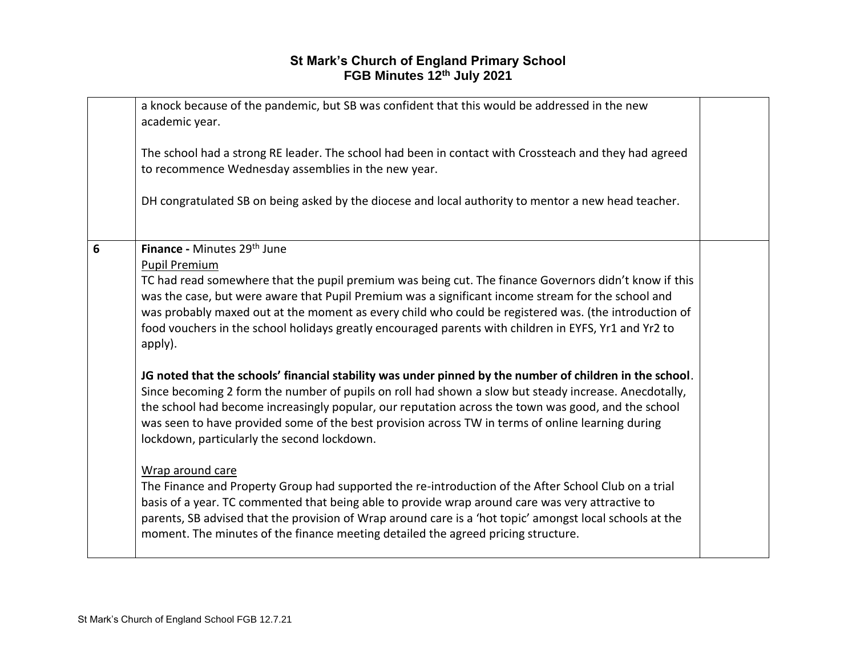|   | a knock because of the pandemic, but SB was confident that this would be addressed in the new<br>academic year.                                                                                                                                                                                                                                                                                                                                                                                                                                                                                                                                                                                                                                                                                                                                                                                                                                                                                                                                                                                                                                                                                                             |  |
|---|-----------------------------------------------------------------------------------------------------------------------------------------------------------------------------------------------------------------------------------------------------------------------------------------------------------------------------------------------------------------------------------------------------------------------------------------------------------------------------------------------------------------------------------------------------------------------------------------------------------------------------------------------------------------------------------------------------------------------------------------------------------------------------------------------------------------------------------------------------------------------------------------------------------------------------------------------------------------------------------------------------------------------------------------------------------------------------------------------------------------------------------------------------------------------------------------------------------------------------|--|
|   | The school had a strong RE leader. The school had been in contact with Crossteach and they had agreed<br>to recommence Wednesday assemblies in the new year.                                                                                                                                                                                                                                                                                                                                                                                                                                                                                                                                                                                                                                                                                                                                                                                                                                                                                                                                                                                                                                                                |  |
|   | DH congratulated SB on being asked by the diocese and local authority to mentor a new head teacher.                                                                                                                                                                                                                                                                                                                                                                                                                                                                                                                                                                                                                                                                                                                                                                                                                                                                                                                                                                                                                                                                                                                         |  |
| 6 | Finance - Minutes 29 <sup>th</sup> June<br><b>Pupil Premium</b><br>TC had read somewhere that the pupil premium was being cut. The finance Governors didn't know if this<br>was the case, but were aware that Pupil Premium was a significant income stream for the school and<br>was probably maxed out at the moment as every child who could be registered was. (the introduction of<br>food vouchers in the school holidays greatly encouraged parents with children in EYFS, Yr1 and Yr2 to<br>apply).<br>JG noted that the schools' financial stability was under pinned by the number of children in the school.<br>Since becoming 2 form the number of pupils on roll had shown a slow but steady increase. Anecdotally,<br>the school had become increasingly popular, our reputation across the town was good, and the school<br>was seen to have provided some of the best provision across TW in terms of online learning during<br>lockdown, particularly the second lockdown.<br>Wrap around care<br>The Finance and Property Group had supported the re-introduction of the After School Club on a trial<br>basis of a year. TC commented that being able to provide wrap around care was very attractive to |  |
|   | parents, SB advised that the provision of Wrap around care is a 'hot topic' amongst local schools at the<br>moment. The minutes of the finance meeting detailed the agreed pricing structure.                                                                                                                                                                                                                                                                                                                                                                                                                                                                                                                                                                                                                                                                                                                                                                                                                                                                                                                                                                                                                               |  |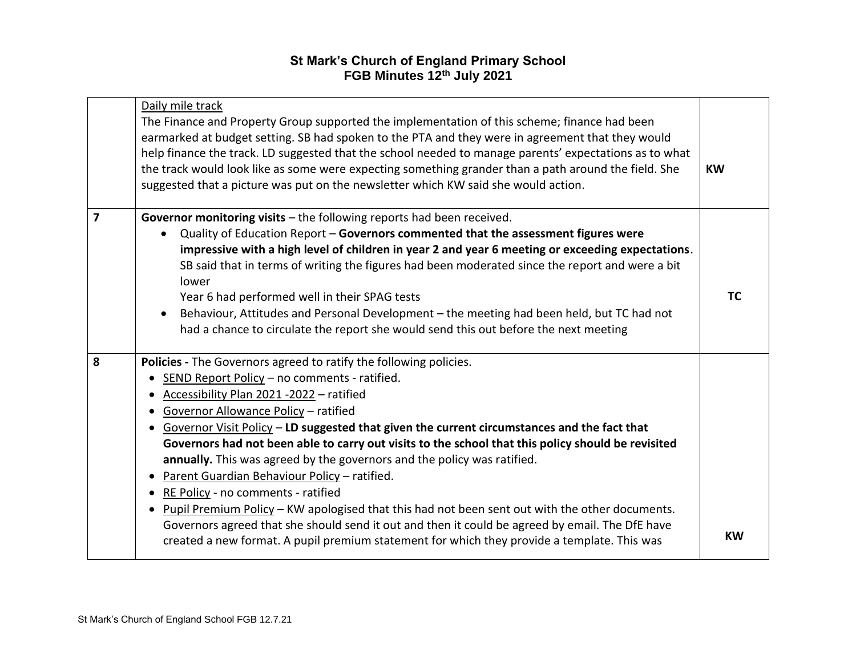|   | Daily mile track<br>The Finance and Property Group supported the implementation of this scheme; finance had been<br>earmarked at budget setting. SB had spoken to the PTA and they were in agreement that they would<br>help finance the track. LD suggested that the school needed to manage parents' expectations as to what<br>the track would look like as some were expecting something grander than a path around the field. She<br>suggested that a picture was put on the newsletter which KW said she would action.                                                                                                                                                                                                                                                                                                                                                                                                                                               | <b>KW</b> |
|---|----------------------------------------------------------------------------------------------------------------------------------------------------------------------------------------------------------------------------------------------------------------------------------------------------------------------------------------------------------------------------------------------------------------------------------------------------------------------------------------------------------------------------------------------------------------------------------------------------------------------------------------------------------------------------------------------------------------------------------------------------------------------------------------------------------------------------------------------------------------------------------------------------------------------------------------------------------------------------|-----------|
| 7 | Governor monitoring visits - the following reports had been received.<br>Quality of Education Report - Governors commented that the assessment figures were<br>$\bullet$<br>impressive with a high level of children in year 2 and year 6 meeting or exceeding expectations.<br>SB said that in terms of writing the figures had been moderated since the report and were a bit<br>lower<br>Year 6 had performed well in their SPAG tests<br>Behaviour, Attitudes and Personal Development - the meeting had been held, but TC had not<br>$\bullet$<br>had a chance to circulate the report she would send this out before the next meeting                                                                                                                                                                                                                                                                                                                                | <b>TC</b> |
| 8 | Policies - The Governors agreed to ratify the following policies.<br>SEND Report Policy - no comments - ratified.<br>$\bullet$<br>Accessibility Plan 2021 -2022 - ratified<br>$\bullet$<br>Governor Allowance Policy - ratified<br>$\bullet$<br>Governor Visit Policy - LD suggested that given the current circumstances and the fact that<br>$\bullet$<br>Governors had not been able to carry out visits to the school that this policy should be revisited<br>annually. This was agreed by the governors and the policy was ratified.<br>Parent Guardian Behaviour Policy - ratified.<br>$\bullet$<br>RE Policy - no comments - ratified<br>$\bullet$<br>Pupil Premium Policy - KW apologised that this had not been sent out with the other documents.<br>$\bullet$<br>Governors agreed that she should send it out and then it could be agreed by email. The DfE have<br>created a new format. A pupil premium statement for which they provide a template. This was | <b>KW</b> |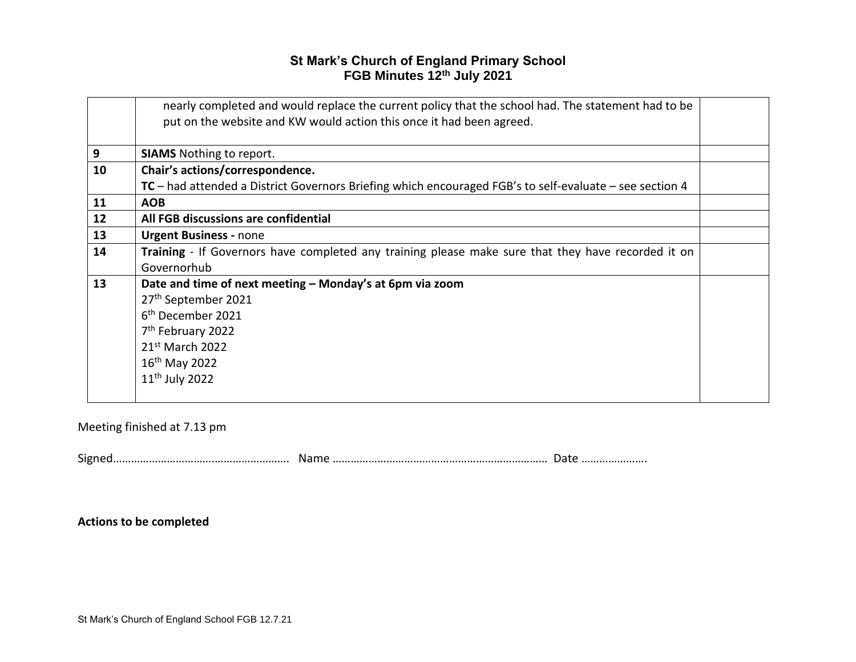|    | nearly completed and would replace the current policy that the school had. The statement had to be<br>put on the website and KW would action this once it had been agreed. |  |
|----|----------------------------------------------------------------------------------------------------------------------------------------------------------------------------|--|
|    |                                                                                                                                                                            |  |
| 9  | <b>SIAMS</b> Nothing to report.                                                                                                                                            |  |
| 10 | Chair's actions/correspondence.                                                                                                                                            |  |
|    | $TC$ – had attended a District Governors Briefing which encouraged FGB's to self-evaluate – see section 4                                                                  |  |
| 11 | <b>AOB</b>                                                                                                                                                                 |  |
| 12 | All FGB discussions are confidential                                                                                                                                       |  |
| 13 | <b>Urgent Business - none</b>                                                                                                                                              |  |
| 14 | Training - If Governors have completed any training please make sure that they have recorded it on                                                                         |  |
|    | Governorhub                                                                                                                                                                |  |
| 13 | Date and time of next meeting - Monday's at 6pm via zoom                                                                                                                   |  |
|    | 27 <sup>th</sup> September 2021                                                                                                                                            |  |
|    | 6 <sup>th</sup> December 2021                                                                                                                                              |  |
|    | 7 <sup>th</sup> February 2022                                                                                                                                              |  |
|    | $21st$ March 2022                                                                                                                                                          |  |
|    | 16 <sup>th</sup> May 2022                                                                                                                                                  |  |
|    | 11 <sup>th</sup> July 2022                                                                                                                                                 |  |
|    |                                                                                                                                                                            |  |

Meeting finished at 7.13 pm

Signed…………………………….……………………. Name ……………………………………………………………… Date ………………….

**Actions to be completed**